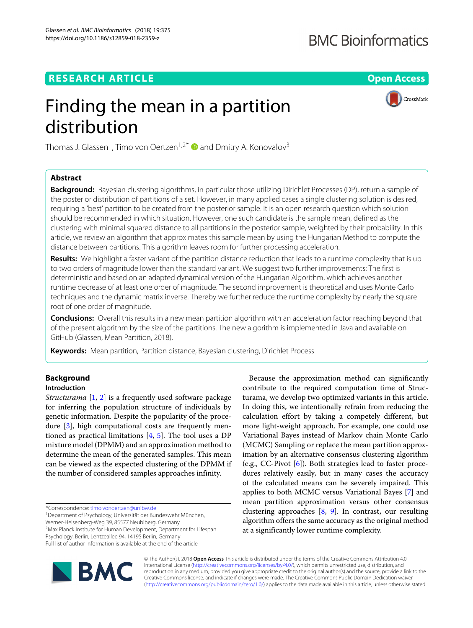# **BMC Bioinformatics**

CrossMark

# **RESEARCH ARTICLE Open Access**

# Finding the mean in a partition distribution

Thomas J. Glassen<sup>1</sup>, Timo von Oertzen<sup>1,2\*</sup>  $\bullet$  and Dmitry A. Konovalov<sup>3</sup>

# **Abstract**

**Background:** Bayesian clustering algorithms, in particular those utilizing Dirichlet Processes (DP), return a sample of the posterior distribution of partitions of a set. However, in many applied cases a single clustering solution is desired, requiring a 'best' partition to be created from the posterior sample. It is an open research question which solution should be recommended in which situation. However, one such candidate is the sample mean, defined as the clustering with minimal squared distance to all partitions in the posterior sample, weighted by their probability. In this article, we review an algorithm that approximates this sample mean by using the Hungarian Method to compute the distance between partitions. This algorithm leaves room for further processing acceleration.

**Results:** We highlight a faster variant of the partition distance reduction that leads to a runtime complexity that is up to two orders of magnitude lower than the standard variant. We suggest two further improvements: The first is deterministic and based on an adapted dynamical version of the Hungarian Algorithm, which achieves another runtime decrease of at least one order of magnitude. The second improvement is theoretical and uses Monte Carlo techniques and the dynamic matrix inverse. Thereby we further reduce the runtime complexity by nearly the square root of one order of magnitude.

**Conclusions:** Overall this results in a new mean partition algorithm with an acceleration factor reaching beyond that of the present algorithm by the size of the partitions. The new algorithm is implemented in Java and available on GitHub (Glassen, Mean Partition, 2018).

**Keywords:** Mean partition, Partition distance, Bayesian clustering, Dirichlet Process

# **Background**

# **Introduction**

*Structurama* [\[1,](#page-8-0) [2\]](#page-8-1) is a frequently used software package for inferring the population structure of individuals by genetic information. Despite the popularity of the procedure [\[3\]](#page-8-2), high computational costs are frequently mentioned as practical limitations  $[4, 5]$  $[4, 5]$  $[4, 5]$ . The tool uses a DP mixture model (DPMM) and an approximation method to determine the mean of the generated samples. This mean can be viewed as the expected clustering of the DPMM if the number of considered samples approaches infinity.

\*Correspondence: [timo.vonoertzen@unibw.de](mailto: timo.vonoertzen@unibw.de)

1Department of Psychology, Universität der Bundeswehr München, Werner-Heisenberg-Weg 39, 85577 Neubiberg, Germany

2Max Planck Institute for Human Development, Department for Lifespan Psychology, Berlin, Lentzeallee 94, 14195 Berlin, Germany

Full list of author information is available at the end of the article



Because the approximation method can significantly contribute to the required computation time of Structurama, we develop two optimized variants in this article. In doing this, we intentionally refrain from reducing the calculation effort by taking a competely different, but more light-weight approach. For example, one could use Variational Bayes instead of Markov chain Monte Carlo (MCMC) Sampling or replace the mean partition approximation by an alternative consensus clustering algorithm (e.g., CC-Pivot  $[6]$ ). Both strategies lead to faster procedures relatively easily, but in many cases the accuracy of the calculated means can be severely impaired. This applies to both MCMC versus Variational Bayes [\[7\]](#page-8-6) and mean partition approximation versus other consensus clustering approaches [\[8,](#page-8-7) [9\]](#page-8-8). In contrast, our resulting algorithm offers the same accuracy as the original method at a significantly lower runtime complexity.

© The Author(s). 2018 **Open Access** This article is distributed under the terms of the Creative Commons Attribution 4.0 International License [\(http://creativecommons.org/licenses/by/4.0/\)](http://creativecommons.org/licenses/by/4.0/), which permits unrestricted use, distribution, and reproduction in any medium, provided you give appropriate credit to the original author(s) and the source, provide a link to the Creative Commons license, and indicate if changes were made. The Creative Commons Public Domain Dedication waiver [\(http://creativecommons.org/publicdomain/zero/1.0/\)](http://creativecommons.org/publicdomain/zero/1.0/) applies to the data made available in this article, unless otherwise stated.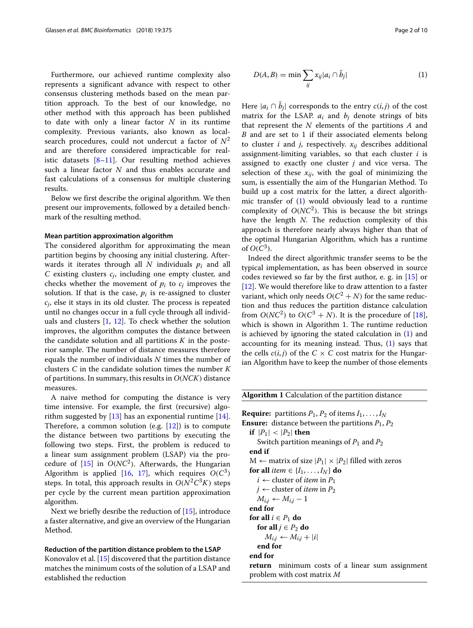Furthermore, our achieved runtime complexity also represents a significant advance with respect to other consensus clustering methods based on the mean partition approach. To the best of our knowledge, no other method with this approach has been published to date with only a linear factor *N* in its runtime complexity. Previous variants, also known as localsearch procedures, could not undercut a factor of  $N^2$ and are therefore considered impracticable for realistic datasets [\[8–](#page-8-7)[11\]](#page-8-9). Our resulting method achieves such a linear factor *N* and thus enables accurate and fast calculations of a consensus for multiple clustering results.

Below we first describe the original algorithm. We then present our improvements, followed by a detailed benchmark of the resulting method.

# **Mean partition approximation algorithm**

The considered algorithm for approximating the mean partition begins by choosing any initial clustering. Afterwards it iterates through all *N* individuals *pi* and all *C* existing clusters *cj*, including one empty cluster, and checks whether the movement of  $p_i$  to  $c_j$  improves the solution. If that is the case,  $p_i$  is re-assigned to cluster *cj*, else it stays in its old cluster. The process is repeated until no changes occur in a full cycle through all individuals and clusters  $[1, 12]$  $[1, 12]$  $[1, 12]$ . To check whether the solution improves, the algorithm computes the distance between the candidate solution and all partitions *K* in the posterior sample. The number of distance measures therefore equals the number of individuals *N* times the number of clusters *C* in the candidate solution times the number *K* of partitions. In summary, this results in *O*(*NCK*) distance measures.

A naive method for computing the distance is very time intensive. For example, the first (recursive) algorithm suggested by  $[13]$  has an exponential runtime  $[14]$ . Therefore, a common solution (e.g.  $[12]$ ) is to compute the distance between two partitions by executing the following two steps. First, the problem is reduced to a linear sum assignment problem (LSAP) via the procedure of  $[15]$  in  $O(NC^2)$ . Afterwards, the Hungarian Algorithm is applied [\[16,](#page-9-1) [17\]](#page-9-2), which requires  $O(C^3)$ steps. In total, this approach results in  $O(N^2C^3K)$  steps per cycle by the current mean partition approximation algorithm.

Next we briefly desribe the reduction of [\[15\]](#page-9-0), introduce a faster alternative, and give an overview of the Hungarian Method.

# **Reduction of the partition distance problem to the LSAP**

<span id="page-1-0"></span>Konovalov et al. [\[15\]](#page-9-0) discovered that the partition distance matches the minimum costs of the solution of a LSAP and established the reduction

$$
D(A, B) = \min \sum_{ij} x_{ij} |a_i \cap \bar{b}_j|
$$
 (1)

Here  $|a_i \cap b_j|$  corresponds to the entry  $c(i, j)$  of the cost matrix for the LSAP.  $a_i$  and  $b_j$  denote strings of bits that represent the *N* elements of the partitions *A* and *B* and are set to 1 if their associated elements belong to cluster  $i$  and  $j$ , respectively.  $x_{ij}$  describes additional assignment-limiting variables, so that each cluster *i* is assigned to exactly one cluster *j* and vice versa. The selection of these  $x_{ij}$ , with the goal of minimizing the sum, is essentially the aim of the Hungarian Method. To build up a cost matrix for the latter, a direct algorithmic transfer of [\(1\)](#page-1-0) would obviously lead to a runtime complexity of  $O(NC^2)$ . This is because the bit strings have the length *N*. The reduction complexity of this approach is therefore nearly always higher than that of the optimal Hungarian Algorithm, which has a runtime of  $O(C^3)$ .

Indeed the direct algorithmic transfer seems to be the typical implementation, as has been observed in source codes reviewed so far by the first author, e. g. in [\[15\]](#page-9-0) or [\[12\]](#page-8-10). We would therefore like to draw attention to a faster variant, which only needs  $O(C^2 + N)$  for the same reduction and thus reduces the partition distance calculation from  $O(NC^2)$  to  $O(C^3 + N)$ . It is the procedure of [\[18\]](#page-9-3), which is shown in Algorithm 1. The runtime reduction is achieved by ignoring the stated calculation in [\(1\)](#page-1-0) and accounting for its meaning instead. Thus, [\(1\)](#page-1-0) says that the cells  $c(i, j)$  of the  $C \times C$  cost matrix for the Hungarian Algorithm have to keep the number of those elements

# **Algorithm 1** Calculation of the partition distance

**Require:** partitions  $P_1$ ,  $P_2$  of items  $I_1, \ldots, I_N$ **Ensure:** distance between the partitions  $P_1$ ,  $P_2$ **if**  $|P_1| < |P_2|$  **then** Switch partition meanings of *P*<sup>1</sup> and *P*<sup>2</sup> **end if**  $M$  ← matrix of size  $|P_1| \times |P_2|$  filled with zeros **for all** *item*  $\in \{I_1, \ldots, I_N\}$  **do**  $i \leftarrow$  cluster of *item* in  $P_1$  $j \leftarrow$  cluster of *item* in  $P_2$  $M_{i,j}$  ←  $M_{i,j}$  – 1 **end for for all**  $i \in P_1$  **do for all**  $j \in P_2$  **do**  $M_{i,j} \leftarrow M_{i,j} + |i|$ **end for end for**

**return** minimum costs of a linear sum assignment problem with cost matrix *M*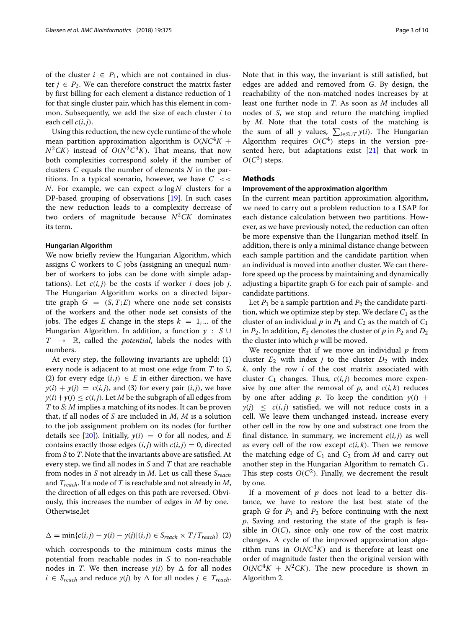of the cluster  $i \in P_1$ , which are not contained in cluster  $j \in P_2$ . We can therefore construct the matrix faster by first billing for each element a distance reduction of 1 for that single cluster pair, which has this element in common. Subsequently, we add the size of each cluster *i* to each cell  $c(i, j)$ .

Using this reduction, the new cycle runtime of the whole mean partition approximation algorithm is  $O(NC^4K +$  $N^2CK$ ) instead of  $O(N^2C^3K)$ . That means, that now both complexities correspond solely if the number of clusters *C* equals the number of elements *N* in the partitions. In a typical scenario, however, we have  $C \ll$ *N*. For example, we can expect  $\alpha \log N$  clusters for a DP-based grouping of observations [\[19\]](#page-9-4). In such cases the new reduction leads to a complexity decrease of two orders of magnitude because  $N^2CK$  dominates its term.

## **Hungarian Algorithm**

We now briefly review the Hungarian Algorithm, which assigns *C* workers to *C* jobs (assigning an unequal number of workers to jobs can be done with simple adaptations). Let  $c(i, j)$  be the costs if worker *i* does job *j*. The Hungarian Algorithm works on a directed bipartite graph  $G = (S, T; E)$  where one node set consists of the workers and the other node set consists of the jobs. The edges *E* change in the steps  $k = 1, ...$  of the Hungarian Algorithm. In addition, a function *y* : *S* ∪  $T \rightarrow \mathbb{R}$ , called the *potential*, labels the nodes with numbers.

At every step, the following invariants are upheld: (1) every node is adjacent to at most one edge from *T* to *S*, (2) for every edge  $(i, j) \in E$  in either direction, we have  $y(i) + y(j) = c(i, j)$ , and (3) for every pair  $(i, j)$ , we have  $y(i) + y(j) \le c(i, j)$ . Let *M* be the subgraph of all edges from *T* to *S*; *M* implies a matching of its nodes. It can be proven that, if all nodes of *S* are included in *M*, *M* is a solution to the job assignment problem on its nodes (for further details see  $[20]$ ). Initially,  $y(i) = 0$  for all nodes, and *E* contains exactly those edges  $(i, j)$  with  $c(i, j) = 0$ , directed from *S* to *T*. Note that the invariants above are satisfied. At every step, we find all nodes in *S* and *T* that are reachable from nodes in *S* not already in *M*. Let us call these *Sreach* and *Treach*. If a node of *T* is reachable and not already in *M*, the direction of all edges on this path are reversed. Obviously, this increases the number of edges in *M* by one. Otherwise,let

$$
\Delta = \min\{c(i,j) - y(i) - y(j)| (i,j) \in S_{reach} \times T/T_{reach}\}
$$
 (2)

which corresponds to the minimum costs minus the potential from reachable nodes in *S* to non-reachable nodes in *T*. We then increase  $y(i)$  by  $\Delta$  for all nodes *i* ∈ *S*<sub>reach</sub> and reduce *y*(*j*) by  $\Delta$  for all nodes *j* ∈ *T*<sub>reach</sub>. Note that in this way, the invariant is still satisfied, but edges are added and removed from *G*. By design, the reachability of the non-matched nodes increases by at least one further node in *T*. As soon as *M* includes all nodes of *S*, we stop and return the matching implied by *M*. Note that the total costs of the matching is the sum of all *y* values,  $\sum_{i \in S \cup T} y(i)$ . The Hungarian Algorithm requires  $O(C<sup>4</sup>)$  steps in the version presented here, but adaptations exist [\[21\]](#page-9-6) that work in  $O(C^3)$  steps.

# **Methods**

# **Improvement of the approximation algorithm**

In the current mean partition approximation algorithm, we need to carry out a problem reduction to a LSAP for each distance calculation between two partitions. However, as we have previously noted, the reduction can often be more expensive than the Hungarian method itself. In addition, there is only a minimal distance change between each sample partition and the candidate partition when an individual is moved into another cluster. We can therefore speed up the process by maintaining and dynamically adjusting a bipartite graph *G* for each pair of sample- and candidate partitions.

Let  $P_1$  be a sample partition and  $P_2$  the candidate partition, which we optimize step by step. We declare  $C_1$  as the cluster of an individual  $p$  in  $P_1$  and  $C_2$  as the match of  $C_1$ in  $P_2$ . In addition,  $E_2$  denotes the cluster of  $p$  in  $P_2$  and  $D_2$ the cluster into which *p* will be moved.

We recognize that if we move an individual *p* from cluster  $E_2$  with index *j* to the cluster  $D_2$  with index *k*, only the row *i* of the cost matrix associated with cluster  $C_1$  changes. Thus,  $c(i, j)$  becomes more expensive by one after the removal of  $p$ , and  $c(i, k)$  reduces by one after adding *p*. To keep the condition  $y(i)$  +  $y(j) \leq c(i, j)$  satisfied, we will not reduce costs in a cell. We leave them unchanged instead, increase every other cell in the row by one and substract one from the final distance. In summary, we increment  $c(i, j)$  as well as every cell of the row except  $c(i, k)$ . Then we remove the matching edge of  $C_1$  and  $C_2$  from  $M$  and carry out another step in the Hungarian Algorithm to rematch *C*1. This step costs  $O(C^2)$ . Finally, we decrement the result by one.

If a movement of *p* does not lead to a better distance, we have to restore the last best state of the graph *G* for  $P_1$  and  $P_2$  before continuing with the next *p*. Saving and restoring the state of the graph is feasible in  $O(C)$ , since only one row of the cost matrix changes. A cycle of the improved approximation algorithm runs in  $O(NC^3K)$  and is therefore at least one order of magnitude faster then the original version with  $O(NC^4K + N^2CK)$ . The new procedure is shown in Algorithm 2.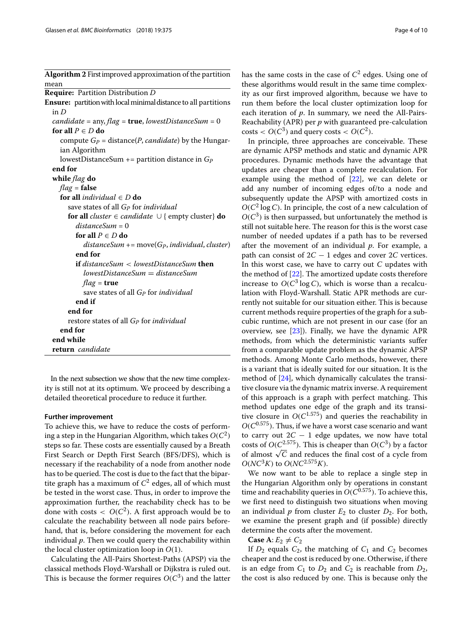**Algorithm 2** Firstimproved approximation of the partition mean **Require:** Partition Distribution *D* **Ensure:** partition with local minimal distance to all partitions in *D candidate* = any, *flag* = **true**, *lowestDistanceSum* = 0 **for all**  $P \in D$  **do** compute  $G_P$  = distance(*P*, *candidate*) by the Hungarian Algorithm lowestDistanceSum += partition distance in *GP* **end for while** *flag* **do** *flag* = **false for all** *individual*  $\in$  *D* **do** save states of all *GP* for *individual* **for all** *cluster* ∈ *candidate*  $\cup$  { empty cluster} **do** *distanceSum* = 0 **for all** *P* ∈ *D* **do** *distanceSum* += move(*GP*, *individual*, *cluster*) **end for if** *distanceSum* < *lowestDistanceSum* **then** *lowestDistanceSum* = *distanceSum flag* = **true** save states of all *GP* for *individual* **end if end for** restore states of all *GP* for *individual* **end for end while return** *candidate*

In the next subsection we show that the new time complexity is still not at its optimum. We proceed by describing a detailed theoretical procedure to reduce it further.

## **Further improvement**

To achieve this, we have to reduce the costs of performing a step in the Hungarian Algorithm, which takes  $O(C^2)$ steps so far. These costs are essentially caused by a Breath First Search or Depth First Search (BFS/DFS), which is necessary if the reachability of a node from another node has to be queried. The cost is due to the fact that the bipartite graph has a maximum of  $C^2$  edges, all of which must be tested in the worst case. Thus, in order to improve the approximation further, the reachability check has to be done with costs  $\langle O(C^2) \rangle$ . A first approach would be to calculate the reachability between all node pairs beforehand, that is, before considering the movement for each individual *p*. Then we could query the reachability within the local cluster optimization loop in *O*(1).

Calculating the All-Pairs Shortest-Paths (APSP) via the classical methods Floyd-Warshall or Dijkstra is ruled out. This is because the former requires  $O(C^3)$  and the latter

has the same costs in the case of  $C^2$  edges. Using one of these algorithms would result in the same time complexity as our first improved algorithm, because we have to run them before the local cluster optimization loop for each iteration of *p*. In summary, we need the All-Pairs-Reachability (APR) per *p* with guaranteed pre-calculation  $\text{costs} < O(C^3)$  and query costs  $& O(C^2)$ .

In principle, three approaches are conceivable. These are dynamic APSP methods and static and dynamic APR procedures. Dynamic methods have the advantage that updates are cheaper than a complete recalculation. For example using the method of [\[22\]](#page-9-7), we can delete or add any number of incoming edges of/to a node and subsequently update the APSP with amortized costs in  $O(C^2 \log C)$ . In principle, the cost of a new calculation of  $O(C^3)$  is then surpassed, but unfortunately the method is still not suitable here. The reason for this is the worst case number of needed updates if a path has to be reversed after the movement of an individual *p*. For example, a path can consist of 2*C* − 1 edges and cover 2*C* vertices. In this worst case, we have to carry out *C* updates with the method of [\[22\]](#page-9-7). The amortized update costs therefore increase to  $O(C^3 \log C)$ , which is worse than a recalculation with Floyd-Warshall. Static APR methods are currently not suitable for our situation either. This is because current methods require properties of the graph for a subcubic runtime, which are not present in our case (for an overview, see [\[23\]](#page-9-8)). Finally, we have the dynamic APR methods, from which the deterministic variants suffer from a comparable update problem as the dynamic APSP methods. Among Monte Carlo methods, however, there is a variant that is ideally suited for our situation. It is the method of [\[24\]](#page-9-9), which dynamically calculates the transitive closure via the dynamic matrix inverse. A requirement of this approach is a graph with perfect matching. This method updates one edge of the graph and its transitive closure in  $O(C^{1.575})$  and queries the reachability in  $O(C^{0.575})$ . Thus, if we have a worst case scenario and want to carry out  $2C - 1$  edge updates, we now have total costs of  $O(C^{2.575})$ . This is cheaper than  $O(C^3)$  by a factor of almost  $\sqrt{C}$  and reduces the final cost of a cycle from  $O(NC^3K)$  to  $O(NC^{2.575}K)$ .

We now want to be able to replace a single step in the Hungarian Algorithm only by operations in constant time and reachability queries in  $O(C^{0.575})$ . To achieve this, we first need to distinguish two situations when moving an individual  $p$  from cluster  $E_2$  to cluster  $D_2$ . For both, we examine the present graph and (if possible) directly determine the costs after the movement.

**Case** A:  $E_2 \neq C_2$ 

If  $D_2$  equals  $C_2$ , the matching of  $C_1$  and  $C_2$  becomes cheaper and the cost is reduced by one. Otherwise, if there is an edge from  $C_1$  to  $D_2$  and  $C_2$  is reachable from  $D_2$ , the cost is also reduced by one. This is because only the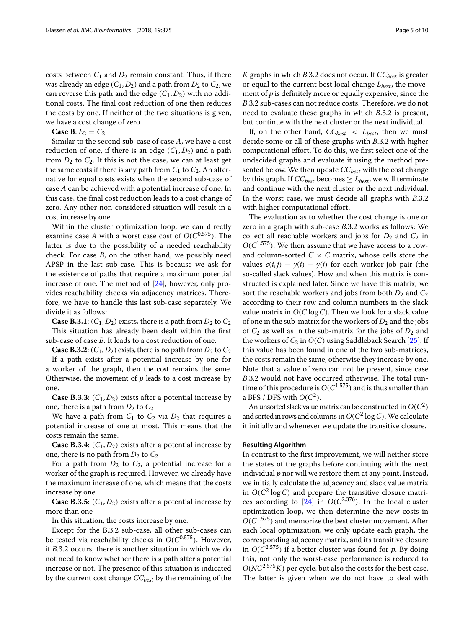costs between  $C_1$  and  $D_2$  remain constant. Thus, if there was already an edge  $(C_1, D_2)$  and a path from  $D_2$  to  $C_2$ , we can reverse this path and the edge  $(C_1, D_2)$  with no additional costs. The final cost reduction of one then reduces the costs by one. If neither of the two situations is given, we have a cost change of zero.

**Case B:**  $E_2 = C_2$ 

Similar to the second sub-case of case *A*, we have a cost reduction of one, if there is an edge  $(C_1, D_2)$  and a path from  $D_2$  to  $C_2$ . If this is not the case, we can at least get the same costs if there is any path from  $C_1$  to  $C_2$ . An alternative for equal costs exists when the second sub-case of case *A* can be achieved with a potential increase of one. In this case, the final cost reduction leads to a cost change of zero. Any other non-considered situation will result in a cost increase by one.

Within the cluster optimization loop, we can directly examine case *A* with a worst case cost of *O*(*C*0.575). The latter is due to the possibility of a needed reachability check. For case *B*, on the other hand, we possibly need APSP in the last sub-case. This is because we ask for the existence of paths that require a maximum potential increase of one. The method of  $[24]$ , however, only provides reachability checks via adjacency matrices. Therefore, we have to handle this last sub-case separately. We divide it as follows:

**Case B.3.1**:  $(C_1, D_2)$  exists, there is a path from  $D_2$  to  $C_2$ This situation has already been dealt within the first sub-case of case *B*. It leads to a cost reduction of one.

**Case B.3.2**:  $(C_1, D_2)$  exists, there is no path from  $D_2$  to  $C_2$ 

If a path exists after a potential increase by one for a worker of the graph, then the cost remains the same. Otherwise, the movement of *p* leads to a cost increase by one.

**Case B.3.3**:  $(C_1, D_2)$  exists after a potential increase by one, there is a path from  $D_2$  to  $C_2$ 

We have a path from  $C_1$  to  $C_2$  via  $D_2$  that requires a potential increase of one at most. This means that the costs remain the same.

**Case B.3.4**: (*C*1, *D*2) exists after a potential increase by one, there is no path from  $D_2$  to  $C_2$ 

For a path from  $D_2$  to  $C_2$ , a potential increase for a worker of the graph is required. However, we already have the maximum increase of one, which means that the costs increase by one.

**Case B.3.5**:  $(C_1, D_2)$  exists after a potential increase by more than one

In this situation, the costs increase by one.

Except for the B.3.2 sub-case, all other sub-cases can be tested via reachability checks in *O*(*C*0.575). However, if *B*.3.2 occurs, there is another situation in which we do not need to know whether there is a path after a potential increase or not. The presence of this situation is indicated by the current cost change  $CC_{best}$  by the remaining of the *K* graphs in which *B*.3.2 does not occur. If *CC*<sub>best</sub> is greater or equal to the current best local change  $L_{best}$ , the movement of *p* is definitely more or equally expensive, since the *B*.3.2 sub-cases can not reduce costs. Therefore, we do not need to evaluate these graphs in which *B*.3.2 is present, but continue with the next cluster or the next individual.

If, on the other hand,  $CC_{best}$  <  $L_{best}$ , then we must decide some or all of these graphs with *B*.3.2 with higher computational effort. To do this, we first select one of the undecided graphs and evaluate it using the method presented below. We then update  $CC_{best}$  with the cost change by this graph. If  $CC_{best}$  becomes  $\geq L_{best}$ , we will terminate and continue with the next cluster or the next individual. In the worst case, we must decide all graphs with *B*.3.2 with higher computational effort.

The evaluation as to whether the cost change is one or zero in a graph with sub-case *B*.3.2 works as follows: We collect all reachable workers and jobs for  $D_2$  and  $C_2$  in  $O(C^{1.575})$ . We then assume that we have access to a rowand column-sorted  $C \times C$  matrix, whose cells store the values  $c(i, j) - y(i) - y(j)$  for each worker-job pair (the so-called slack values). How and when this matrix is constructed is explained later. Since we have this matrix, we sort the reachable workers and jobs from both  $D_2$  and  $C_2$ according to their row and column numbers in the slack value matrix in *O*(*C* log *C*). Then we look for a slack value of one in the sub-matrix for the workers of  $D_2$  and the jobs of  $C_2$  as well as in the sub-matrix for the jobs of  $D_2$  and the workers of  $C_2$  in  $O(C)$  using Saddleback Search [\[25\]](#page-9-10). If this value has been found in one of the two sub-matrices, the costs remain the same, otherwise they increase by one. Note that a value of zero can not be present, since case *B*.3.2 would not have occurred otherwise. The total runtime of this procedure is  $O(C^{1.575})$  and is thus smaller than a BFS / DFS with  $O(C^2)$ .

An unsorted slack value matrix can be constructed in  $O(C^2)$ and sorted in rows and columns in  $O(C^2 \log C)$ . We calculate it initially and whenever we update the transitive closure.

# **Resulting Algorithm**

In contrast to the first improvement, we will neither store the states of the graphs before continuing with the next individual *p* nor will we restore them at any point. Instead, we initially calculate the adjacency and slack value matrix in  $O(C^2 \log C)$  and prepare the transitive closure matri-ces according to [\[24\]](#page-9-9) in  $O(C^{2.376})$ . In the local cluster optimization loop, we then determine the new costs in  $O(C^{1.575})$  and memorize the best cluster movement. After each local optimization, we only update each graph, the corresponding adjacency matrix, and its transitive closure in *O*(*C*2.575) if a better cluster was found for *p*. By doing this, not only the worst-case performance is reduced to  $O(NC^{2.575}K)$  per cycle, but also the costs for the best case. The latter is given when we do not have to deal with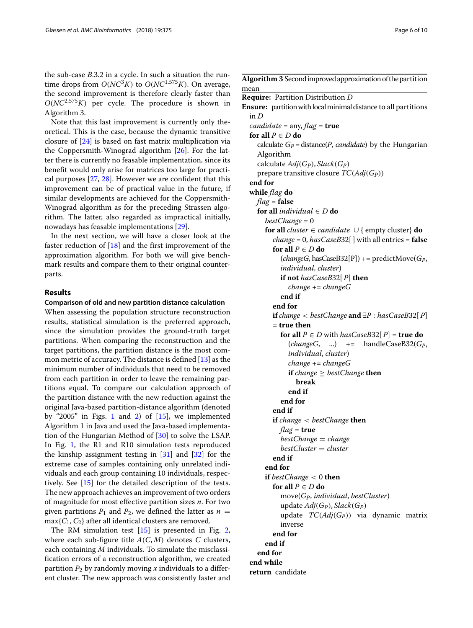the sub-case *B*.3.2 in a cycle. In such a situation the runtime drops from  $O(NC^3K)$  to  $O(NC^{1.575}K)$ . On average, the second improvement is therefore clearly faster than *O*(*NC*2.575*K*) per cycle. The procedure is shown in Algorithm 3.

Note that this last improvement is currently only theoretical. This is the case, because the dynamic transitive closure of [\[24\]](#page-9-9) is based on fast matrix multiplication via the Coppersmith-Winograd algorithm [\[26\]](#page-9-11). For the latter there is currently no feasable implementation, since its benefit would only arise for matrices too large for practical purposes [\[27,](#page-9-12) [28\]](#page-9-13). However we are confident that this improvement can be of practical value in the future, if similar developments are achieved for the Coppersmith-Winograd algorithm as for the preceding Strassen algorithm. The latter, also regarded as impractical initially, nowadays has feasable implementations [\[29\]](#page-9-14).

In the next section, we will have a closer look at the faster reduction of [\[18\]](#page-9-3) and the first improvement of the approximation algorithm. For both we will give benchmark results and compare them to their original counterparts.

# **Results**

# **Comparison of old and new partition distance calculation**

When assessing the population structure reconstruction results, statistical simulation is the preferred approach, since the simulation provides the ground-truth target partitions. When comparing the reconstruction and the target partitions, the partition distance is the most common metric of accuracy. The distance is defined [\[13\]](#page-8-11) as the minimum number of individuals that need to be removed from each partition in order to leave the remaining partitions equal. To compare our calculation approach of the partition distance with the new reduction against the original Java-based partition-distance algorithm (denoted by "2005" in Figs. [1](#page-6-0) and [2\)](#page-6-1) of  $[15]$ , we implemented Algorithm 1 in Java and used the Java-based implementation of the Hungarian Method of [\[30\]](#page-9-15) to solve the LSAP. In Fig. [1,](#page-6-0) the R1 and R10 simulation tests reproduced the kinship assignment testing in  $[31]$  and  $[32]$  for the extreme case of samples containing only unrelated individuals and each group containing 10 individuals, respectively. See [\[15\]](#page-9-0) for the detailed description of the tests. The new approach achieves an improvement of two orders of magnitude for most effective partition sizes *n*. For two given partitions  $P_1$  and  $P_2$ , we defined the latter as  $n =$ max{*C*1, *C*2} after all identical clusters are removed.

The RM simulation test  $[15]$  is presented in Fig. [2,](#page-6-1) where each sub-figure title  $A(C, M)$  denotes *C* clusters, each containing *M* individuals. To simulate the misclassification errors of a reconstruction algorithm, we created partition  $P_2$  by randomly moving *x* individuals to a different cluster. The new approach was consistently faster and Algorithm 3 Second improved approximation of the partition mean **Require:** Partition Distribution *D* **Ensure:** partition with local minimal distance to all partitions in *D candidate* = any, *flag* = **true for all**  $P \in D$  **do** calculate  $G_P$  = distance(*P*, *candidate*) by the Hungarian Algorithm calculate  $Adj(G_P)$ ,  $Slack(G_P)$ prepare transitive closure  $TC(Adj(G_P))$ **end for while** *flag* **do** *flag* = **false for all** *individual* ∈ *D* **do** *bestChange* = 0 **for all** *cluster* ∈ *candidate* ∪ { empty cluster} **do** *change* = 0, *hasCaseB*32[ ] with all entries = **false for all**  $P \in D$  **do** (*changeG*, hasCaseB32[P]) += predictMove(*GP*, *individual*, *cluster*) **if not** *hasCaseB*32[ *P*] **then** *change* += *changeG* **end if end for if** *change* < *bestChange* **and** ∃*P* : *hasCaseB*32[ *P*] = **true then for all**  $P \in D$  with  $hasCaseB32[$   $P$  = **true do** (*changeG*, ...) += handleCaseB32(*GP*, *individual*, *cluster*) *change* += *changeG if change*  $\geq$  *bestChange* **then break end if end for end if if** *change* < *bestChange* **then** *flag* = **true** *bestChange* = *change bestCluster* = *cluster* **end if end for if** *bestChange* < 0 **then for all** *P* ∈ *D* **do** move(*GP*, *individual*, *bestCluster*) update *Adj*(*GP*), *Slack*(*GP*) update *TC*(*Adj*(*GP*)) via dynamic matrix inverse **end for end if end for end while return** candidate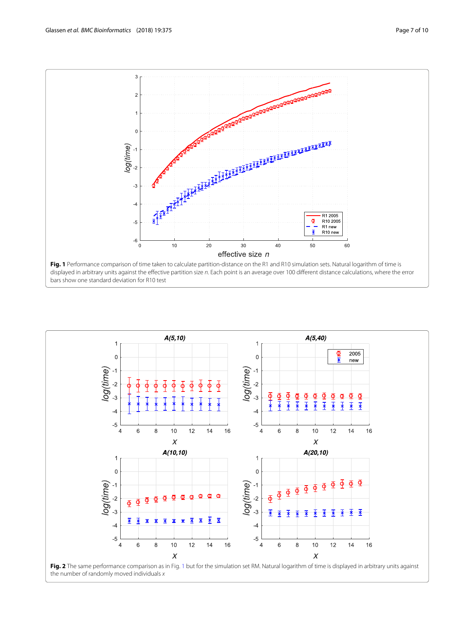

<span id="page-6-1"></span><span id="page-6-0"></span>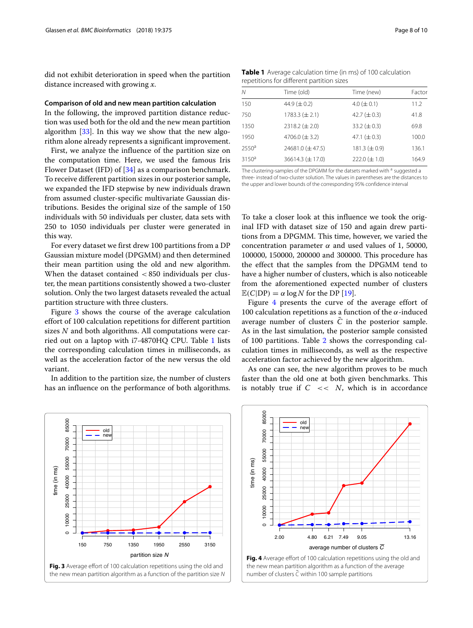did not exhibit deterioration in speed when the partition distance increased with growing *x*.

# **Comparison of old and new mean partition calculation**

In the following, the improved partition distance reduction was used both for the old and the new mean partition algorithm [\[33\]](#page-9-18). In this way we show that the new algorithm alone already represents a significant improvement.

First, we analyze the influence of the partition size on the computation time. Here, we used the famous Iris Flower Dataset (IFD) of [\[34\]](#page-9-19) as a comparison benchmark. To receive different partition sizes in our posterior sample, we expanded the IFD stepwise by new individuals drawn from assumed cluster-specific multivariate Gaussian distributions. Besides the original size of the sample of 150 individuals with 50 individuals per cluster, data sets with 250 to 1050 individuals per cluster were generated in this way.

For every dataset we first drew 100 partitions from a DP Gaussian mixture model (DPGMM) and then determined their mean partition using the old and new algorithm. When the dataset contained < 850 individuals per cluster, the mean partitions consistently showed a two-cluster solution. Only the two largest datasets revealed the actual partition structure with three clusters.

Figure [3](#page-7-0) shows the course of the average calculation effort of 100 calculation repetitions for different partition sizes *N* and both algorithms. All computations were carried out on a laptop with i7-4870HQ CPU. Table [1](#page-7-1) lists the corresponding calculation times in milliseconds, as well as the acceleration factor of the new versus the old variant.

In addition to the partition size, the number of clusters has an influence on the performance of both algorithms.

<span id="page-7-1"></span>**Table 1** Average calculation time (in ms) of 100 calculation repetitions for different partition sizes

| N        | Time (old)           | Time (new)        | Factor |
|----------|----------------------|-------------------|--------|
| 150      | 44.9 ( $\pm$ 0.2)    | $4.0 \ (\pm 0.1)$ | 11.2   |
| 750      | 1783.3 $(\pm 2.1)$   | 42.7 $(\pm 0.3)$  | 41.8   |
| 1350     | 2318.2 $(\pm 2.0)$   | 33.2 $(\pm 0.3)$  | 69.8   |
| 1950     | 4706.0 $(\pm 3.2)$   | 47.1 $(\pm 0.3)$  | 100.0  |
| 2550a    | 24681.0 $(\pm 47.5)$ | 181.3 $(\pm 0.9)$ | 136.1  |
| $3150^a$ | 36614.3 $(\pm 17.0)$ | $222.0 (\pm 1.0)$ | 164.9  |

The clustering-samples of the DPGMM for the datsets marked with <sup>a</sup> suggested a three- instead of two-cluster solution. The values in parentheses are the distances to the upper and lower bounds of the corresponding 95% confidence interval

To take a closer look at this influence we took the original IFD with dataset size of 150 and again drew partitions from a DPGMM. This time, however, we varied the concentration parameter  $\alpha$  and used values of 1, 50000, 100000, 150000, 200000 and 300000. This procedure has the effect that the samples from the DPGMM tend to have a higher number of clusters, which is also noticeable from the aforementioned expected number of clusters  $\mathbb{E}(C|DP) = \alpha \log N$  for the DP [\[19\]](#page-9-4).

Figure [4](#page-7-2) presents the curve of the average effort of 100 calculation repetitions as a function of the  $\alpha$ -induced average number of clusters  $\overline{C}$  in the posterior sample. As in the last simulation, the posterior sample consisted of 100 partitions. Table [2](#page-8-13) shows the corresponding calculation times in milliseconds, as well as the respective acceleration factor achieved by the new algorithm.

As one can see, the new algorithm proves to be much faster than the old one at both given benchmarks. This is notably true if  $C \ll N$ , which is in accordance



<span id="page-7-2"></span>

<span id="page-7-0"></span>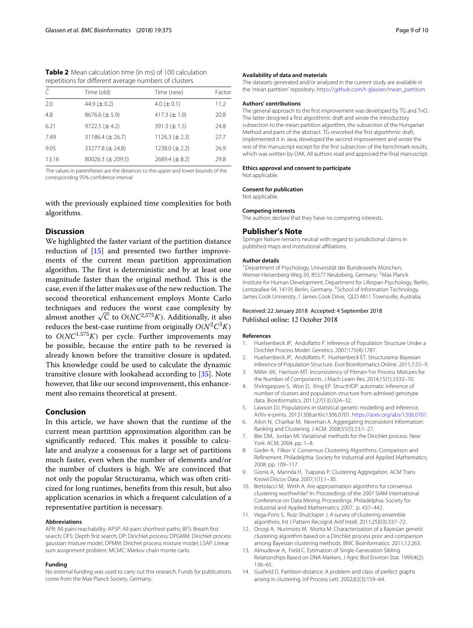| $\subset$ | Time (old)             | Time (new)         | Factor |
|-----------|------------------------|--------------------|--------|
| 2.0       | 44.9 $(\pm 0.2)$       | $4.0 \ (\pm 0.1)$  | 11.2   |
| 4.8       | $8676.6 (\pm 5.9)$     | 417.3 $(\pm 1.9)$  | 20.8   |
| 6.21      | 9722.5 $(\pm 4.2)$     | $391.3 (\pm 1.5)$  | 24.8   |
| 7.49      | 31186.4 $(\pm 26.7)$   | 1126.3 $(\pm 2.3)$ | 27.7   |
| 9.05      | 33277.8 $(\pm 24.8)$   | 1238.0 $(\pm 2.2)$ | 26.9   |
| 13.16     | 80026.3 ( $\pm$ 209.5) | 2689.4 $(\pm 8.2)$ | 29.8   |

<span id="page-8-13"></span>**Table 2** Mean calculation time (in ms) of 100 calculation repetitions for different average numbers of clusters

The values in parentheses are the distances to the upper and lower bounds of the corresponding 95% confidence interval

with the previously explained time complexities for both algorithms.

# **Discussion**

We highlighted the faster variant of the partition distance reduction of [\[15\]](#page-9-0) and presented two further improvements of the current mean partition approximation algorithm. The first is deterministic and by at least one magnitude faster than the original method. This is the case, even if the latter makes use of the new reduction. The second theoretical enhancement employs Monte Carlo techniques and reduces the worst case complexity by almost another  $\sqrt{C}$  to  $O(NC^{2,575}K)$ . Additionally, it also reduces the best-case runtime from originally  $O(N^2C^3K)$ to  $O(NC^{1.575}K)$  per cycle. Further improvements may be possible, because the entire path to be reversed is already known before the transitive closure is updated. This knowledge could be used to calculate the dynamic transitive closure with lookahead according to [\[35\]](#page-9-20). Note however, that like our second improvement, this enhancement also remains theoretical at present.

# **Conclusion**

In this article, we have shown that the runtime of the current mean partition approximation algorithm can be significantly reduced. This makes it possible to calculate and analyze a consensus for a large set of partitions much faster, even when the number of elements and/or the number of clusters is high. We are convinced that not only the popular Structurama, which was often criticized for long runtimes, benefits from this result, but also application scenarios in which a frequent calculation of a representative partition is necessary.

#### **Abbreviations**

APR: All-pairs-reachability; APSP: All-pairs shorthest-paths; BFS: Breath first search; DFS: Depth first search; DP: Dirichlet process; DPGMM: Dirichlet process gaussian mixture model; DPMM: Dirichet process mixture model; LSAP: Linear sum assignment problem; MCMC: Markov chain monte carlo

#### **Funding**

No external funding was used to carry out this research. Funds for publications come from the Max Planck Society, Germany.

#### **Availability of data and materials**

The datasets generated and/or analyzed in the current study are available in the 'mean partition' repository, [https://github.com/t-glassen/mean\\_partition.](https://github.com/t-glassen/mean_partition)

#### **Authors' contributions**

The general approach to the first improvement was developed by TG and TvO. The latter designed a first algorithmic draft and wrote the introductory subsection to the mean partition algorithm, the subsection of the Hungarian Method and parts of the abstract. TG reworked the first algorithmic draft, implemented it in Java, developed the second improvement and wrote the rest of the manuscript except for the first subsection of the benchmark results, which was written by DAK. All authors read and approved the final manuscript.

# **Ethics approval and consent to participate**

Not applicable.

#### **Consent for publication**

Not applicable.

### **Competing interests**

The authors declare that they have no competing interests.

### **Publisher's Note**

Springer Nature remains neutral with regard to jurisdictional claims in published maps and institutional affiliations.

# **Author details**

<sup>1</sup> Department of Psychology, Universität der Bundeswehr München, Werner-Heisenberg-Weg 39, 85577 Neubiberg, Germany. 2Max Planck Institute for Human Development, Department for Lifespan Psychology, Berlin, Lentzeallee 94, 14195 Berlin, Germany. <sup>3</sup>School of Information Technology, James Cook University, 1 James Cook Drive, QLD 4811 Townsville, Australia.

# Received: 22 January 2018 Accepted: 4 September 2018 Published online: 12 October 2018

#### **References**

- <span id="page-8-0"></span>1. Huelsenbeck JP, Andolfatto P. Inference of Population Structure Under a Dirichlet Process Model. Genetics. 2007;175(4):1787.
- <span id="page-8-1"></span>2. Huelsenbeck JP, Andolfatto P, Huelsenbeck ET. Structurama: Bayesian Inference of Population Structure. Evol Bioinformatics Online. 2011;7:55–9.
- <span id="page-8-2"></span>3. Miller JW, Harrison MT. Inconsistency of Pitman-Yor Process Mixtures for the Number of Components. J Mach Learn Res. 2014;15(1):3333–70.
- <span id="page-8-3"></span>4. Shringarpure S, Won D, Xing EP. StructHDP: automatic inference of number of clusters and population structure from admixed genotype data. Bioinformatics. 2011;27(13):i324–32.
- <span id="page-8-4"></span>5. Lawson DJ. Populations in statistical genetic modelling and inference. ArXiv e-prints. 20131306:arXiv:1306.0701. [https://arxiv.org/abs/1306.0701.](https://arxiv.org/abs/1306.0701)
- <span id="page-8-5"></span>6. Ailon N, Charikar M, Newman A. Aggregating Inconsistent Information: Ranking and Clustering. J ACM. 2008;55(5):23:1–27.
- <span id="page-8-6"></span>7. Blei DM, Jordan MI. Variational methods for the Dirichlet process. New York: ACM; 2004. pp. 1–8.
- <span id="page-8-7"></span>8. Goder A, Filkov V. Consensus Clustering Algorithms: Comparison and Refinement. Philadelphia: Society for Industrial and Applied Mathematics; 2008. pp. 109–117.
- <span id="page-8-8"></span>9. Gionis A, Mannila H, Tsaparas P. Clustering Aggregation. ACM Trans Knowl Discov Data. 2007;1(1):1–30.
- 10. Bertolacci M, Wirth A. Are approximation algorithms for consensus clustering worthwhile? In: Proceedings of the 2007 SIAM International Conference on Data Mining. Proceedings. Philadelphia: Society for Industrial and Applied Mathematics; 2007. p. 437–442.
- <span id="page-8-9"></span>11. Vega-Pons S, Ruiz-Shulcloper J. A survey of clustering ensemble algorithms. Int J Pattern Recognit Artif Intell. 2011;25(03):337–72.
- <span id="page-8-10"></span>12. Onogi A, Nurimoto M, Morita M. Characterization of a Bayesian genetic clustering algorithm based on a Dirichlet process prior and comparison among Bayesian clustering methods. BMC Bioinformatics. 2011;12:263.
- <span id="page-8-11"></span>13. Almudevar A, Field C. Estimation of Single-Generation Sibling Relationships Based on DNA Markers. J Agric Biol Environ Stat. 1999;4(2): 136–65.
- <span id="page-8-12"></span>14. Gusfield D. Partition-distance: A problem and class of perfect graphs arising in clustering. Inf Process Lett. 2002;82(3):159–64.